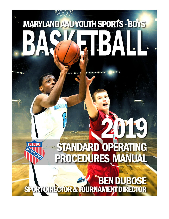# **MARYLAND AAU YOUTH SPORTS - BOYS** ٠

# STANDARD OPERATING PROCEDURES MANUAL

AA

# SPORT DIRECTOR & TOURNAMENT DIRECTOR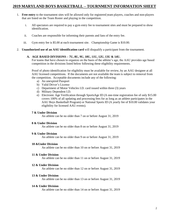#### **2019 MARYLAND BOYS BASKETBALL – TOURNMENT INFORMATION SHEET**

- 1. **Free entry** to the tournament sites will be allowed only for registered team players, coaches and non-players that are listed on the Team Roster and playing in the competition.
	- i. All spectators are required to pay a gym entry fee to tournament sites and must be prepared to show identification.
	- ii. Coaches are responsible for informing their parents and fans of the entry fee.
	- iii. Gym entry fee is \$5.00 at each tournament site. Championship Game is \$10.00.
- 2. **Unauthorized use of an AAU identification card** will disqualify a participant from the tournament.

#### **A. AGE BASED DIVISIONS – 7U, 8U, 9U, 10U, 11U, 12U, 13U & 14U.**

For teams that have chosen to organize on the basis of the athlete's age, the AAU provides age based competition in the divisions listed below following these eligibility requirements.

Proof of photo identification for eligibility must be available for review, by an AAU designee at all AAU licensed competitions. If the documents are not available the team is subject to removal from the competition. Acceptable documents include any of the following:

- a) An unexpired Passport
- b) Valid Driver's License
- c) Department of Motor Vehicles I.D. card issued within three (3) years
- d) Military Dependent I.D.
- e) Electronic Age Verification through SportsAge ID (A one-time registration fee of only \$15.00 covers 100% of all updating and processing fees for as long as an athlete participates in the AAU Boys Basketball Program) or National Sports ID (A yearly fee of \$10.00 validates your eligibility for licensed AAU events).

#### **7 & Under Division**

An athlete can be no older than 7 on or before August 31, 2019

#### **8 & Under Division**

An athlete can be no older than 8 on or before August 31, 2019

#### **9 & Under Division**

An athlete can be no older than 9 on or before August 31, 2019

#### **10 &Under Division**

An athlete can be no older than 10 on or before August 31, 2019

#### **11 & Under Division**

An athlete can be no older than 11 on or before August 31, 2019

#### **12 & Under Division**

An athlete can be no older than 12 on or before August 31, 2019

#### **13 & Under Division**

An athlete can be no older than 13 on or before August 31, 2019

#### **14 & Under Division**

An athlete can be no older than 14 on or before August 31, 2019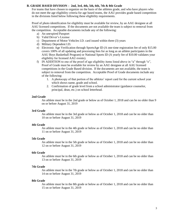#### **B. GRADE BASED DIVISION – 2nd, 3rd, 4th, 5th, 6th, 7th & 8th Grade**

For teams that have chosen to organize on the basis of the athletes grade, and who have players who do not meet the age eligibility criteria for age based teams, the AAU provides grade based competition in the divisions listed below following these eligibility requirements.

Proof of photo identification for eligibility must be available for review, by an AAU designee at all AAU licensed competitions. If the documents are not available the team is subject to removal from the competition. Acceptable documents include any of the following:

- a) An unexpired Passport
- b) Valid Driver's License
- c) Department of Motor Vehicles I.D. card issued within three (3) years
- d) Military Dependent I.D.
- e) Electronic Age Verification through SportsAge ID (A one-time registration fee of only \$15.00 covers 100% of all updating and processing fees for as long as an athlete participates in the AAU Boys Basketball Program) or National Sports ID (A yearly fee of \$10.00 validates your eligibility for licensed AAU events).
- f) IN ADDITION to one of the proof of age eligibility items listed above in "a" through "e", Proof of Grade must be available for review by an AAU designee at all AAU licensed competitions in the Grade Based division. If the documents are not available, the team is subject to removal from the competition. Acceptable Proof of Grade documents include any of the following:
	- 1. A photocopy of that portion of the athletes' report card for the current school year which shows name, grade and school.
	- 2. Confirmation of grade level from a school administrator (guidance counselor, principal, dean, etc.) on school letterhead.

#### **2nd Grade**

An athlete must be in the 2nd grade or below as of October 1, 2018 and can be no older than 9 on or before August 31, 2019

#### **3rd Grade**

An athlete must be in the 3rd grade or below as of October 1, 2018 and can be no older than 10 on or before August 31, 2019

#### **4th Grade**

An athlete must be in the 4th grade or below as of October 1, 2018 and can be no older than 11 on or before August 31, 2019

#### **5th Grade**

An athlete must be in the 5th grade or below as of October 1, 2018 and can be no older than 12 on or before August 31, 2019

#### **6th Grade**

An athlete must be in the 6th grade or below as of October 1, 2018 and can be no older than 13 on or before August 31, 2019

#### **7th Grade**

An athlete must be in the 7th grade or below as of October 1, 2018 and can be no older than 14 on or before August 31, 2019

#### **8th Grade**

An athlete must be in the 8th grade or below as of October 1, 2018 and can be no older than 15 on or before August 31, 2019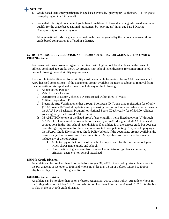### **NOTICE:**

- 1. Grade based teams may participate in age based events by "playing up" a division. (i.e. 7th grade team playing up in a 14U event).
- 2. Some districts might not conduct grade based qualifiers. In those districts, grade based teams can qualify for the grade based national tournament by "playing up" in an age based District Championship or Super-Regional.
- 3. At large national bids for grade based nationals may be granted by the national chairman if no grade based competition is offered in a district.

#### **C. HIGH SCHOOL LEVEL DIVISIONS – 15U/9th Grade, 16U/10th Grade, 17U/11th Grade & 19U/12th Grade**

For teams that have chosen to organize their team with high school level athletes on the basis of athletes combined age/grade, the AAU provides high school level divisions for competition listed below following these eligibility requirements.

Proof of photo identification for eligibility must be available for review, by an AAU designee at all AAU licensed competitions. If the documents are not available the team is subject to removal from the competition. Acceptable documents include any of the following:

- a) An unexpired Passport
- b) Valid Driver's License
- c) Department of Motor Vehicles I.D. card issued within three (3) years
- d) Military Dependent I.D.
- e) Electronic Age Verification either through SportsAge ID (A one-time registration fee of only \$15.00 covers 100% of all updating and processing fees for as long as an athlete participates in the AAU Boys Basketball Program) or National Sports ID (A yearly fee of \$10.00 validates your eligibility for licensed AAU events).
- f) IN ADDITION to one of the listed proof of age eligibility items listed above in "a" through "e", Proof of Grade must be available for review by an AAU designee at all AAU licensed competitions in the high school level divisions if an athlete is in the correct grade but does not meet the age requirement for the division he wants to compete in (e.g., 16-year-old playing in the 15U/9th Grade Division) (see Grade Policy below). If the documents are not available, the team is subject to removal from the competition. Acceptable Proof of Grade documents include any of the following:
	- 1. A photocopy of that portion of the athletes' report card for the current school year which shows name, grade and school.
	- 2. Confirmation of grade level from a school administrator (guidance counselor, principal, dean, etc.) on school letterhead.

#### **15U/9th Grade Division**

An athlete can be no older than 15 on or before August 31, 2019. Grade Policy: An athlete who is in the 9th grade as of October 1, 2018 and who is no older than 16 on or before August 31, 2019 is eligible to play in the 15U/9th grade division.

#### **16U/10th Grade Division**

An athlete can be no older than 16 on or before August 31, 2019. Grade Policy: An athlete who is in the 10th grade as of October 1, 2018 and who is no older than 17 or before August 31, 2019 is eligible to play in the 16U/10th grade division.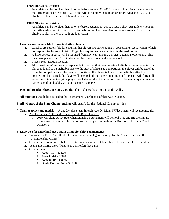#### **17U/11th Grade Division**

An athlete can be no older than 17 on or before August 31, 2019. Grade Policy: An athlete who is in the 11th grade as of October 1, 2018 and who is no older than 18 on or before August 31, 2019 is eligible to play in the 17U/11th grade division.

#### **19U/12th Grade Division**

An athlete can be no older than 19 on or before August 31, 2019. Grade Policy: An athlete who is in the 12th grade as of October 1, 2018 and who is no older than 20 on or before August 31, 2019 is eligible to play in the 19U/12th grade division.

#### 3. **Coaches are responsible for any ineligible players**.

- i. Coaches are responsible for ensuring that players are participating in appropriate Age Division, which corresponds to the Age Division Eligibility requirements, as outlined in the AAU rules.
- ii. A \$100.00 fee, in cash, will be required from any team making a protest against another team. This must take place within 15 minutes after the time expires on the game clock.
- iii. Player/Team Disqualification
- iv. All Non-athletes/coaches are responsible to see that their team meets all eligibility requirements. If a player is found to be ineligible prior to the start of a licensed competition, the player will be expelled from the competition and the team will continue. If a player is found to be ineligible after the competition has started, the player will be expelled from the competition and the team will forfeit all games in which the ineligible player was listed on the official score sheet. The team may continue to participate, if applicable, without the expelled player.
- 4. **Pool and Bracket sheets are only a guide**. This includes those posted on the walls.
- 5. **All questions** should be directed to the Tournament Coordinator of that Age Division.
- 6. **All winners of the State Championships** will qualify for the National Championships.
- 7. **Team trophies and medals** =  $1<sup>st</sup>$  and  $2<sup>nd</sup>$  place team in each Age Division.  $3<sup>rd</sup>$  Place team will receive medals.
	- i. Age Divisions: 7u through 19u and Grade Base Division:
		- a) 2019 Maryland AAU State Championship Tournament will be Pool Play and Bracket Single-Elimination. Championship Game will be Single Elimination for Division 1, Division 2 and Division 3.

#### 8. **Entry Fee for Maryland AAU State Championship Tournament:**

- i. Tournament Fee=\$350.00, plus Official Fees for each game, except for the "Final Four" and the "Championship Games".
- ii. Official Fees are required before the start of each game. Only cash will be accepted for Official Fees.
- iii. Teams not paying the Official Fees will forfeit that game.
- iv. Official Fees:
	- Ages  $7-10 = $25.00$
	- Ages  $11-14 = $30.00$
	- Ages  $15-19 = $35.00$
	- Grade Division  $6-8 = $30.00$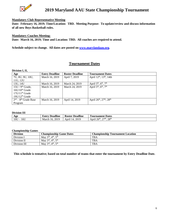

#### **Mandatory Club Representative Meeting**

**Date: February 16, 2019; Time/Location: TBD. Meeting Purpose: To update/review and discuss information of all new Boys Basketball rules.**

#### **Mandatory Coaches Meeting:**

**Date: March 16, 2019; Time and Location: TBD. All coaches are required to attend.**

**Schedule subject to change. All dates are posted on [www.marylandaau.org.](http://www.marylandaau.org/)**

#### **Tournament Dates**

| Division I, II, |
|-----------------|
|-----------------|

| Age                    | <b>Entry Deadline</b> | <b>Roster Deadline</b> | <b>Tournament Dates</b>                          |
|------------------------|-----------------------|------------------------|--------------------------------------------------|
| 7U, 8U, 9U, 10U,       | March 16, 2019        | April 7, 2019          | April 12 <sup>th</sup> , 13 <sup>th</sup> , 14th |
| 11U, 12U               |                       |                        |                                                  |
| 13U, 14U               | March 16, 2019        | March 24, 2019         | April $5^{th}$ , $6^{th}$ , $7^{th}$             |
| $15U/9th$ Grade,       | March 16, 2019        | March 24, 2019         | April $5th$ , $6th$ , $7th$                      |
| $16$ U/ $10th$ Grade   |                       |                        |                                                  |
| $17U/11th$ Grade       |                       |                        |                                                  |
| $19U/12th$ Grade       |                       |                        |                                                  |
| $2nd - 8th$ Grade Base | March 16, 2019        | April 14, 2019         | April $26^{th}$ , $27^{th}$ , $28^{th}$          |
| Program                |                       |                        |                                                  |

#### **Division III**

| Age        | <br><b>Deadline</b><br>Lintry           | <b>Roster Deadline</b> | <b>Dates</b><br>Tournament                                                                          |
|------------|-----------------------------------------|------------------------|-----------------------------------------------------------------------------------------------------|
| 16U<br>10U | 2019<br>Marc<br><u> ' ი. </u><br>$\sim$ | .2019<br>Apri<br>- 14  | 26 <sup>th</sup><br>$\sim$ oth<br>$\gamma$ $\tau$ th<br>$\cdots$<br>Apri <sub>1</sub><br>$\angle 0$ |

#### **Championship Games**

| <b>Division</b> | <b>Championship Game Dates</b>                          | <b>Championship Tournament Location</b> |
|-----------------|---------------------------------------------------------|-----------------------------------------|
| Division I      | May $3^{\text{rd}}$ , $4^{\text{th}}$ , $5^{\text{th}}$ | <b>TBA</b>                              |
| Division II     | May $3^{\text{rd}}$ , $4^{\text{th}}$ , $5^{\text{th}}$ | <b>TBA</b>                              |
| Division III    | May $3^{\text{rd}}$ , $4^{\text{th}}$ , $5^{\text{th}}$ | <b>TBA</b>                              |

**This schedule is tentative; based on total number of teams that enter the tournament by Entry Deadline Date.**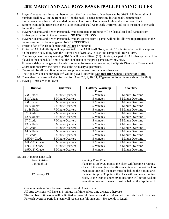# **2019 MARYLAND AAU BOYS BASKETBALL PLAYING RULES**

- 1. Players' jerseys must have numbers on both the front and back. Numbers can be 00-99. Minimum size of numbers shall be 2" on the front and 4" on the back. Teams competing in National Championship tournaments must have light and dark jerseys. Uniforms: Home wear Light and Visitor wear Dark.
- 2. Bottom team in the Brackets is the Visitor team and shall wear Dark Uniforms and sit to the right of the table facing the court.
- 3. Players, Coaches and Bench Personnel, who participate in fighting will be disqualified and banned from further participation in the tournament. **NO EXCEPTIONS**.
- 4. Players, Coaches and Bench Personnel, who are ejected from a game, will not be allowed to participate in the team's very next scheduled game. **NO EXCEPTIONS**.
- 5. Protest of an official's judgment call **will not** be honored.
- 6. Protest of AAU eligibility will be presented to the **AAU Staff Only**, within 15 minutes after the time expires on the game clock, along with the Protest Fee of \$100.00, in cash and completed Protest Form.
- 7. The first game of the day/evening **ONLY** will have a fifteen (15) minute grace period. All other games will be played at their scheduled time or at the conclusion of the prior game (overtime, etc.). If there is delay in the game schedule or other unforeseen circumstances, the Sports Director or Tournament Coordinator reserves the right to make the necessary adjustments.
- 8. Teams will be allowed 8 minutes warm-up time, unless time dictates otherwise.
- 9. The Age Divisions 7u through 19<sup>th</sup> will be played under the **National High School Federation Rules**.
- 10. The undersize basketball shall be used for Ages 7,8, 9, 10, 11, 12 games. (Circumference should be 28.5)
- 11. Playing Times are as follows:

| <b>Division</b>            | <b>Quarters</b>   | <b>Halftime/Warm up</b> | Overtime          |
|----------------------------|-------------------|-------------------------|-------------------|
|                            |                   | <b>Times</b>            |                   |
| 7 & Under                  | 6 Minute Quarters | 5 Minutes               | 3 Minute Overtime |
| 8 & Under                  | 6 Minute Quarters | 5 Minutes               | 3 Minute Overtime |
| 9 & Under                  | 6 Minute Quarters | 5 Minutes               | 3 Minute Overtime |
| 10 & Under                 | 7 Minute Quarters | 5 Minutes               | 3 Minute Overtime |
| 11 & Under                 | 7 Minute Quarters | 5 Minutes               | 3 Minute Overtime |
| $5th$ Grade                | 7 Minute Quarters | 5 Minutes               | 3 Minute Overtime |
| 12 & Under                 | 7 Minute Quarters | 5 Minutes               | 3 Minute Overtime |
| $6th$ Grade                | 7 Minute Quarters | 5 Minutes               | 3 Minute Overtime |
| 13 & Under                 | 8 Minute Quarters | 5 Minutes               | 4 Minute Overtime |
| $7th$ Grade                | 8 Minute Quarters | 5 Minutes               | 4 Minute Overtime |
| 14 & Under                 | 8 Minute Quarters | 5 Minutes               | 4 Minute Overtime |
| 8 <sup>th</sup> Grade      | 8 Minute Quarters | 5 Minutes               | 4 Minute Overtime |
| 15U/9 <sup>th</sup> Grade  | 8 Minute Quarters | 5 Minutes               | 4 Minute Overtime |
| 16U/10 <sup>th</sup> Grade | 8 Minute Quarters | 5 Minutes               | 4 Minute Overtime |
| $17U/11th$ Grade           | 8 Minute Quarters | 5 Minutes               | 4 Minute Overtime |
| 19U/12 <sup>th</sup> Grade | 8 Minute Quarters | 5 Minutes               | 4 Minute Overtime |

NOTE: Running Time Rule

#### Age Division Running Time Rule

7 through 11 **If a team is up by 20 points, the clock will become a running** clock. If the team is under 20 points, time will revert back to regulation time and the team must be behind the 3-point arch. 12 through 19 If a team is up by 30 points, the clock will become a running clock. If the team is under 30 points, time will revert back to regulation time and the team must be behind the 3-point arch.

One minute time limit between quarters for all Age Groups.

All Age divisions will have an 8-minute half time unless time dictates otherwise.

The number of time outs will be limited to three full time outs and two 30 second time outs for all divisions. For each overtime period, a team will receive  $(1)$  full time out  $-60$  seconds in length.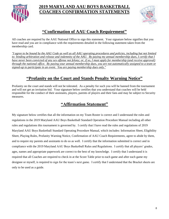

# **2019 MARYLAND AAU BOYS BASKETBALL COACHES CONFIRMATION STATEMENTS**



# **"Confirmation of AAU Coach Requirement"**

All coaches are required by the AAU National Office to sign this statement. Your signature below signifies that you have read and you are in compliance with the requirements detailed in the following statement taken from the membership card.

*"I agree to be bound by the AAU Code as well as all AAU operating procedures and policies, including but not limited to: binding arbitration and release and indemnity of the AAU. By paying my annual membership dues, I certify that I have never been convicted of any sex offense not felony; or, if so, I must apply for membership (and receive approval) through the national office. By paying your annual membership dues, you are not automatically assigned to a team or signed-up to participate in an event. You are paying membership dues only."*

# **"Profanity on the Court and Stands Penalty Warning Notice"**

Profanity on the court and stands will not be tolerated. As a penalty for such you will be banned from the tournament and will not get an invitation bid. Your signature below certifies that you understand that coaches will be held responsible for the conduct of their assistants, players, parents of players and their fans and may be subject to Security measures.

# **"Affirmation Statement"**

My signature below certifies that all the information on my Team Roster is correct and I understand the rules and regulations in the 2019 Maryland AAU Boys Basketball Standard Operation Procedure Manual including all other rules and regulations this tournament is governed by. I certify that I have read the rules and regulations of 2019 Maryland AAU Boys Basketball Standard Operating Procedure Manual, which includes: Information Sheet, Eligibility Sheet, Playing Rules, Profanity Warning Notice, Confirmation of AAU Coach Requirements, agree to abide by them, and to require my parents and assistants to do so as well. I certify that the information submitted is correct and in compliance with the 2019 Maryland AAU Boys Basketball Rules and Regulations. I certify that all players' grades, ages, names and appropriate paperwork are correct to the best of my knowledge. I certify that I understand it is required that all Coaches are required to check in at the Score Table prior to each game and after each game my designee or myself, is required to sign for the team's next game. I certify that I understand that the Bracket sheets are only to be used as a guide.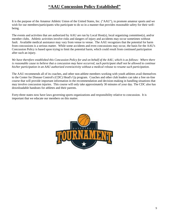# **"AAU Concussion Policy Established"**

It is the purpose of the Amateur Athletic Union of the United States, Inc. ("AAU"), to promote amateur sports and we wish for our members/participants who participate to do so in a manner that provides reasonable safety for their wellbeing.

The events and activities that are authorized by AAU are run by Local Host(s), local organizing committee(s), and/or member clubs. Athletic activities involve risks and dangers of injury and accidents may occur sometimes without fault. Available medical assistance may vary from venue to venue. The AAU recognizes that the potential for harm from concussions is a serious matter. While some accidents and even concussions may occur, the basis for the AAU's Concussion Policy is based upon trying to limit the potential harm, which could result from continued participation after such an injury.

We have therefore established this Concussion Policy for and on behalf of the AAU, which is as follows: Where there *is reasonable cause to believe that a concussion may have occurred, such participant shall not be allowed to continue his/her participation in an AAU authorized event/activity without a medical release to resume such participation.*

The AAU recommends all of its coaches, and other non-athlete members working with youth athletes avail themselves to the Center for Disease Control's (CDC) Head's Up program. Coaches and other club leaders can take a free on-line course that will provide important information in the recommendation and decision-making in handling situations that may involve concussion injuries. This course will only take approximately 30 minutes of your day. The CDC also has downloadable handouts for athletes and their parents.

Forty-three states now have laws governing sports organizations and responsibility relative to concussion. It is important that we educate our members on this matter.

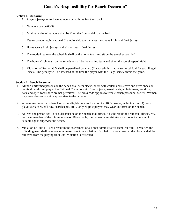# **"Coach's Responsibility for Bench Decorum"**

#### **Section 1. Uniform:**

- 1. Players' jerseys must have numbers on both the front and back.
- 2. Numbers can be 00-99.
- 3. Minimum size of numbers shall be 2" on the front and 4" on the back.
- 4. Teams competing in National Championship tournaments must have Light and Dark jerseys.
- 5. Home wears Light jerseys and Visitor wears Dark jerseys.
- 6. The top/left team on the schedule shall be the home team and sit on the scorekeepers' left.
- 7. The bottom/right team on the schedule shall be the visiting team and sit on the scorekeepers' right.
- 8. Violation of Section G.5. shall be penalized by a two (2) shot administrative technical foul for each illegal jersey. The penalty will be assessed at the time the player with the illegal jersey enters the game.

#### **Section 2. Bench Personnel:**

- 1. All non-uniformed persons on the bench shall wear slacks, shirts with collars and sleeves and dress shoes or tennis shoes during play at the National Championship. Shorts, jeans, sweat pants, athletic wear, tee shirts, hats, and open-toed shoes are not permitted. The dress code applies to female bench personnel as well. Women may wear dresses or skirts appropriate to the occasion.
- 2. A team may have on its bench only the eligible persons listed on its official roster, including four (4) nonplayers (coaches, ball boy, scorekeeper, etc.). Only eligible players may wear uniforms on the bench.
- 3. At least one person age 18 or older must be on the bench at all times. If as the result of a removal, illness, etc., no roster member of the minimum age of 18 available, tournament administrators shall select a person of suitable age to supervise the bench.
- 4. Violation of Rule F.1. shall result in the assessment of a 2-shot administrative technical foul. Thereafter, the offending team shall have one minute to correct the violation. If violation is not corrected the violator shall be removed from the playing floor until violation is corrected.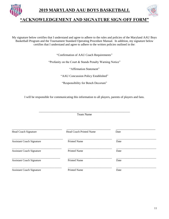



# **"ACKNOWLEDGEMENT AND SIGNATURE SIGN-OFF FORM"**

My signature below certifies that I understand and agree to adhere to the rules and policies of the Maryland AAU Boys Basketball Program and the Tournament Standard Operating Procedure Manual. In addition, my signature below certifies that I understand and agree to adhere to the written policies outlined in the:

"Confirmation of AAU Coach Requirements"

"Profanity on the Court & Stands Penalty Warning Notice"

"Affirmation Statement"

"AAU Concussion Policy Established"

"Responsibility for Bench Decorum"

I will be responsible for communicating this information to all players, parents of players and fans.

|                                  | <b>Team Name</b>               |      |
|----------------------------------|--------------------------------|------|
| <b>Head Coach Signature</b>      | <b>Head Coach Printed Name</b> | Date |
| <b>Assistant Coach Signature</b> | <b>Printed Name</b>            | Date |
| <b>Assistant Coach Signature</b> | <b>Printed Name</b>            | Date |
| <b>Assistant Coach Signature</b> | <b>Printed Name</b>            | Date |
| <b>Assistant Coach Signature</b> | <b>Printed Name</b>            | Date |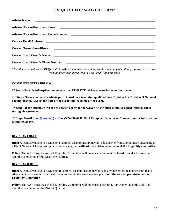#### "**REQUEST FOR WAIVER FORM"**

| <b>Athlete Name:</b>                      |  |
|-------------------------------------------|--|
|                                           |  |
|                                           |  |
|                                           |  |
|                                           |  |
|                                           |  |
| <b>Current Head Coach's Phone Number:</b> |  |

*The athlete named herein REQUEST A WAIVER of the rule which prohibits a team from adding a player to its roster from another team advancing to a National Championship*

#### **COMPLETE STEPS BELOW:**

**1 st Step – Provide full explanation on why the ATHLETE wishes to transfer to another team.**

**2 nd Step – State whether the athlete participated on a team that qualified for a Division I or Division II National Championship. Give us the date of the event and the name of the event.** 

**3 rd Step – If the athletes current head coach agrees to the waiver he/she must submit a signed letter or email stating his agreement.** 

**4 th Step - Email [\(paul@yvn.com\)](mailto:paul@yvn.com) or Fax (509-457-0931) Paul Campbell-Director of Competition the information requested above.** 

#### **DIVISION I RULE**

**Rule:** A team advancing to a Division I National Championship may not add a player from another team advancing to a Div. I National Championship in the same age group **without the written permission of the Eligibility Committee**.

**Policy**: The AAU Boys Basketball Eligibility Committee will not consider request for transfers under this rule until after the completion of the Dist1rict Qualifier.

#### **DIVISION II RULE**

**Rule:** A team advancing to a Division II National Championship may not add any players from another team that is advancing to a Division II National Championship in the same age group **without the written permission of the Eligibility Committee**.

**Policy**: The AAU Boys Basketball Eligibility Committee will not consider request, for waiver under this rule until after the completion of the District Qualifier.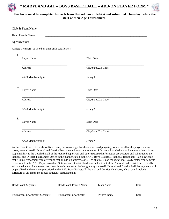

#### **" MARYLAND AAU – BOYS BASKETBALL – ADD-ON PLAYER FORM "**



#### **This form must be completed by each team that add an athlete(s) and submitted Thursday before the start of their Age Tournament.**

|               | Club & Team Name:                                          |                     |
|---------------|------------------------------------------------------------|---------------------|
|               | Head Coach Name:                                           |                     |
| Age/Division: |                                                            |                     |
|               | Athlete's Name(s) as listed on their birth certificate(s): |                     |
| 1.            | Player Name                                                | <b>Birth Date</b>   |
|               | Address                                                    | City/State/Zip Code |
|               | AAU Membership #                                           | Jersey#             |
| 2.            | Player Name                                                | <b>Birth Date</b>   |
|               | Address                                                    | City/State/Zip Code |
|               | AAU Membership #                                           | Jersey#             |
| 3.            | Player Name                                                | <b>Birth Date</b>   |
|               | Address                                                    | City/State/Zip Code |
|               | AAU Membership #                                           | Jersey#             |

As the Head Coach of the above listed team, I acknowledge that the above listed player(s), as well as all of the players on my roster, meet all AAU National and District Tournament Roster requirements. I further acknowledge that I am aware that it is my responsibility as the Coach that all of the required paperwork and other requested information are accurate and submitted to the National and District Tournament Office in the manner stated in the AAU Boys Basketball National Handbook. I acknowledge that it is my responsibility to determine that all add-on athletes, as well as all athletes on my roster meet AAU roster requirements as indicated in the AAU Boys Basketball National and District Handbook and not that of the National and District staff. Finally, I acknowledge that I am aware that if an athlete is deemed to be ineligible by the AAU National and District Staff that my team will be penalized in the manner prescribed in the AAU Boys Basketball National and District Handbook, which could include forfeiture of all games the illegal athlete(s) participated in.

| <b>Head Coach Signature</b>      | Head Coach Printed Name       | Team Name           | Date |
|----------------------------------|-------------------------------|---------------------|------|
| Tournament Coordinator Signature | <b>Tournament Coordinator</b> | <b>Printed Name</b> | Date |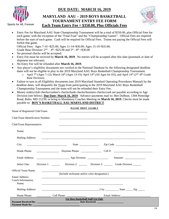

Sports for All, Forever

### **DUE DATE: MARCH 16, 2019**

#### **MARYLAND AAU – 2019 BOYS BASKETBALL TOURNAMENT ENTRY FEE FORM Each Team Entry Fee = \$350.00, Plus Officials Fees**



 Entry Fee for Maryland AAU State Championship Tournament will be a total of \$350.00, plus Official Fees for each game, with the exception of the "Final Four" and the "Championship Games". Official Fees are required before the start of each game. Cash will be required for Official Fees. Teams not paying the Official Fees will forfeit that game.

Official Fees: Ages 7-10 =\$25.00; Ages 11-14=\$30.00; Ages 15-19=\$35.00;

- Grade Base Division:  $2^{nd} 4^{th} = $25.00$  and  $5^{th} 8^{th} = $30.00$
- No personal checks will be accepted.
- Entry Fee must be received by **March 16, 2019**. No entries will be accepted after this date (postmark or date of shipment not relevant).
- No Entry Fee will be refunded after **March 16, 2019**.
- Any player's eligibility documents not verified in the National Database by the following designated deadline dates will not be eligible to play in the 2019 Maryland AAU Boys Basketball Championship Tournament.
	- $\circ$  April 7<sup>th</sup> (Ages 7-12); March 24<sup>th</sup> (Ages 13-19), April 14<sup>th</sup> (All Ages for D3), and April 14<sup>th</sup> (2<sup>nd</sup> -8<sup>th</sup> Grade Base Division).
- Failure to turn in all Eligibility documents (see 2019 Maryland Standard Operating Procedures Manual) by the deadline dates, will disqualify the Team from participating in the 2019 Maryland AAU Boys Basketball Championship Tournament and the team will not be refunded their Entry Fee.
- Money orders/club checks/cashier's checks/bank checks/business checks/cash are payable according to Age Division (see below). **Due Date: March 16, 2019**. Advance payments mail to: Ben DuBose, 1304 Pentridge Road, Balto. MD 21239; or bring to Mandatory Coaches Meeting on **March 16, 2019**. Checks must be made payable to: **BOY'S BASKETBALL AAU MARYLAND DISTRICT**.

| Name of Registered Club/Team:                 | PLEASE PRINT LEGIBLY                                                                         |  |  |
|-----------------------------------------------|----------------------------------------------------------------------------------------------|--|--|
| Club/Team Identification Number:              |                                                                                              |  |  |
| Club/Team Representative:                     |                                                                                              |  |  |
| Name:                                         |                                                                                              |  |  |
| Mailing Address:                              |                                                                                              |  |  |
| City                                          | $S$ tate $S$                                                                                 |  |  |
| Home Phone:                                   |                                                                                              |  |  |
|                                               |                                                                                              |  |  |
| Select One:                                   | Division 1: _________ Division 2: ___________ Division 3: __________ Grade Division ________ |  |  |
| <b>Official Team Name:</b>                    | (Include nickname and/or color designation.)                                                 |  |  |
| Email Address:<br>Coach Information:<br>Name: |                                                                                              |  |  |
| Mailing Address:                              |                                                                                              |  |  |
|                                               |                                                                                              |  |  |
| Payment Made By:                              | <b>For Boys Basketball Staff Use Only</b>                                                    |  |  |